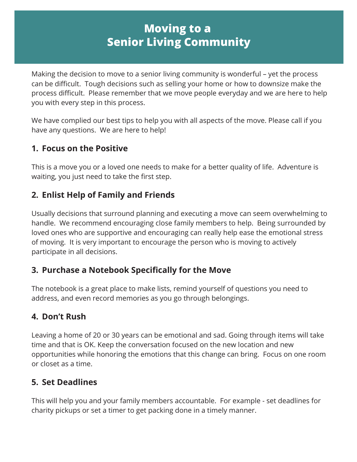# **Moving to a Senior Living Community**

Making the decision to move to a senior living community is wonderful – yet the process can be difficult. Tough decisions such as selling your home or how to downsize make the process difficult. Please remember that we move people everyday and we are here to help you with every step in this process.

We have complied our best tips to help you with all aspects of the move. Please call if you have any questions. We are here to help!

#### **1. Focus on the Positive**

This is a move you or a loved one needs to make for a better quality of life. Adventure is waiting, you just need to take the first step.

## **2. Enlist Help of Family and Friends**

Usually decisions that surround planning and executing a move can seem overwhelming to handle. We recommend encouraging close family members to help. Being surrounded by loved ones who are supportive and encouraging can really help ease the emotional stress of moving. It is very important to encourage the person who is moving to actively participate in all decisions.

#### **3. Purchase a Notebook Specifically for the Move**

The notebook is a great place to make lists, remind yourself of questions you need to address, and even record memories as you go through belongings.

# **4. Don't Rush**

Leaving a home of 20 or 30 years can be emotional and sad. Going through items will take time and that is OK. Keep the conversation focused on the new location and new opportunities while honoring the emotions that this change can bring. Focus on one room or closet as a time.

# **5. Set Deadlines**

This will help you and your family members accountable. For example - set deadlines for charity pickups or set a timer to get packing done in a timely manner.